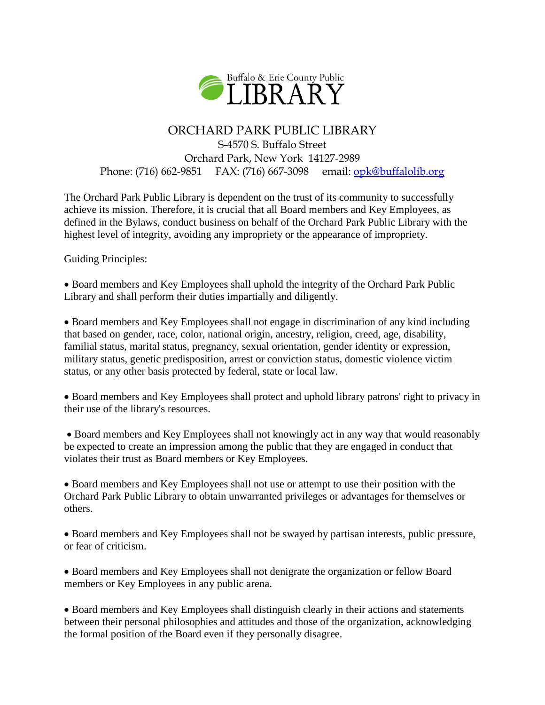

## ORCHARD PARK PUBLIC LIBRARY

S-4570 S. Buffalo Street Orchard Park, New York 14127-2989 Phone: (716) 662-9851 FAX: (716) 667-3098 email: [opk@buffalolib.org](mailto:opk@buffalolib.org)

The Orchard Park Public Library is dependent on the trust of its community to successfully achieve its mission. Therefore, it is crucial that all Board members and Key Employees, as defined in the Bylaws, conduct business on behalf of the Orchard Park Public Library with the highest level of integrity, avoiding any impropriety or the appearance of impropriety.

Guiding Principles:

 Board members and Key Employees shall uphold the integrity of the Orchard Park Public Library and shall perform their duties impartially and diligently.

 Board members and Key Employees shall not engage in discrimination of any kind including that based on gender, race, color, national origin, ancestry, religion, creed, age, disability, familial status, marital status, pregnancy, sexual orientation, gender identity or expression, military status, genetic predisposition, arrest or conviction status, domestic violence victim status, or any other basis protected by federal, state or local law.

 Board members and Key Employees shall protect and uphold library patrons' right to privacy in their use of the library's resources.

• Board members and Key Employees shall not knowingly act in any way that would reasonably be expected to create an impression among the public that they are engaged in conduct that violates their trust as Board members or Key Employees.

 Board members and Key Employees shall not use or attempt to use their position with the Orchard Park Public Library to obtain unwarranted privileges or advantages for themselves or others.

 Board members and Key Employees shall not be swayed by partisan interests, public pressure, or fear of criticism.

 Board members and Key Employees shall not denigrate the organization or fellow Board members or Key Employees in any public arena.

 Board members and Key Employees shall distinguish clearly in their actions and statements between their personal philosophies and attitudes and those of the organization, acknowledging the formal position of the Board even if they personally disagree.